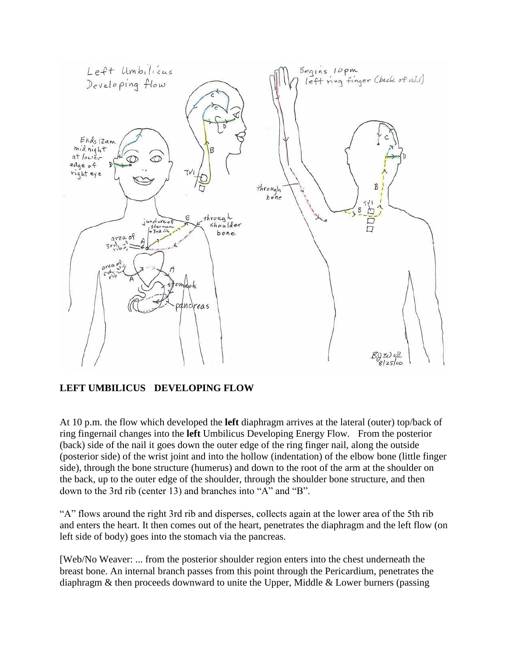

## **LEFT UMBILICUS DEVELOPING FLOW**

At 10 p.m. the flow which developed the **left** diaphragm arrives at the lateral (outer) top/back of ring fingernail changes into the **left** Umbilicus Developing Energy Flow. From the posterior (back) side of the nail it goes down the outer edge of the ring finger nail, along the outside (posterior side) of the wrist joint and into the hollow (indentation) of the elbow bone (little finger side), through the bone structure (humerus) and down to the root of the arm at the shoulder on the back, up to the outer edge of the shoulder, through the shoulder bone structure, and then down to the 3rd rib (center 13) and branches into "A" and "B".

"A" flows around the right 3rd rib and disperses, collects again at the lower area of the 5th rib and enters the heart. It then comes out of the heart, penetrates the diaphragm and the left flow (on left side of body) goes into the stomach via the pancreas.

[Web/No Weaver: ... from the posterior shoulder region enters into the chest underneath the breast bone. An internal branch passes from this point through the Pericardium, penetrates the diaphragm & then proceeds downward to unite the Upper, Middle & Lower burners (passing